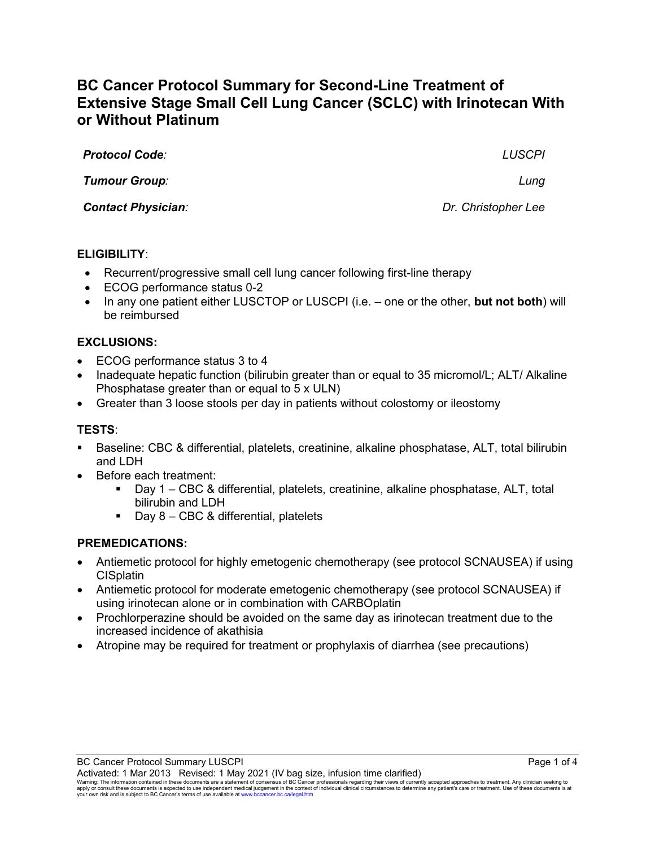# **BC Cancer Protocol Summary for Second-Line Treatment of Extensive Stage Small Cell Lung Cancer (SCLC) with Irinotecan With or Without Platinum**

| <b>Protocol Code:</b>     | <b>LUSCPI</b>       |
|---------------------------|---------------------|
| <b>Tumour Group:</b>      | Lung                |
| <b>Contact Physician:</b> | Dr. Christopher Lee |
|                           |                     |

## **ELIGIBILITY**:

- Recurrent/progressive small cell lung cancer following first-line therapy
- ECOG performance status 0-2
- In any one patient either LUSCTOP or LUSCPI (i.e. one or the other, **but not both**) will be reimbursed

#### **EXCLUSIONS:**

- ECOG performance status 3 to 4
- Inadequate hepatic function (bilirubin greater than or equal to 35 micromol/L; ALT/ Alkaline Phosphatase greater than or equal to 5 x ULN)
- Greater than 3 loose stools per day in patients without colostomy or ileostomy

### **TESTS**:

- Baseline: CBC & differential, platelets, creatinine, alkaline phosphatase, ALT, total bilirubin and LDH
- Before each treatment:
	- Day 1 CBC & differential, platelets, creatinine, alkaline phosphatase, ALT, total bilirubin and LDH
	- Day  $8 CBC$  & differential, platelets

#### **PREMEDICATIONS:**

- Antiemetic protocol for highly emetogenic chemotherapy (see protocol SCNAUSEA) if using **CISplatin**
- Antiemetic protocol for moderate emetogenic chemotherapy (see protocol SCNAUSEA) if using irinotecan alone or in combination with CARBOplatin
- Prochlorperazine should be avoided on the same day as irinotecan treatment due to the increased incidence of akathisia
- Atropine may be required for treatment or prophylaxis of diarrhea (see precautions)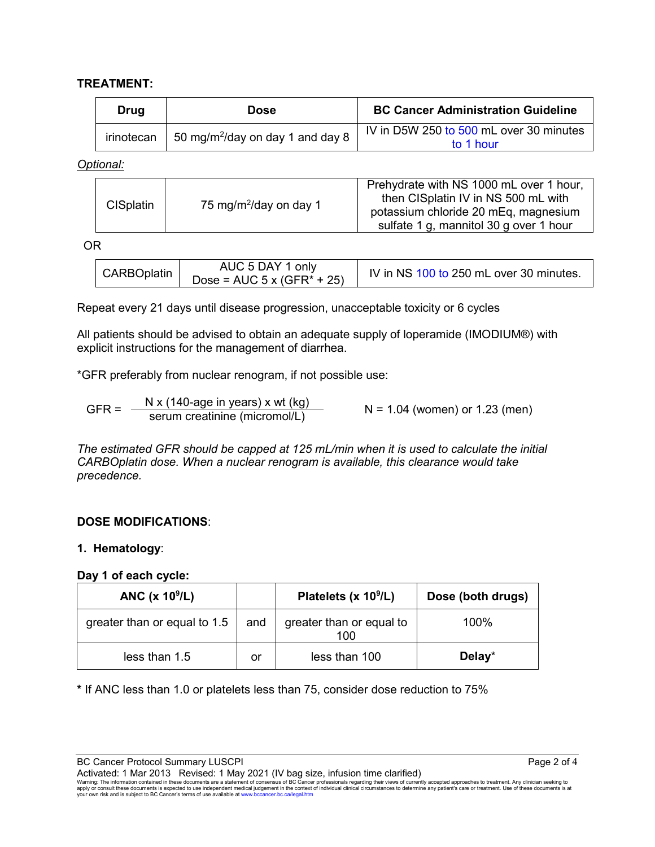## **TREATMENT:**

| Drug | Dose                                                    | <b>BC Cancer Administration Guideline</b>            |
|------|---------------------------------------------------------|------------------------------------------------------|
|      | irinotecan 50 mg/m <sup>2</sup> /day on day 1 and day 8 | IV in D5W 250 to 500 mL over 30 minutes<br>to 1 hour |

*Optional:*

| 75 mg/m <sup>2</sup> /day on day 1<br><b>CISplatin</b> | Prehydrate with NS 1000 mL over 1 hour,<br>then CISplatin IV in NS 500 mL with<br>potassium chloride 20 mEq, magnesium<br>sulfate 1 g, mannitol 30 g over 1 hour |
|--------------------------------------------------------|------------------------------------------------------------------------------------------------------------------------------------------------------------------|
|--------------------------------------------------------|------------------------------------------------------------------------------------------------------------------------------------------------------------------|

OR

| Dose = $AUC$ 5 x (GFR* + 25) | AUC 5 DAY 1 only<br>CARBOplatin | IV in NS 100 to 250 mL over 30 minutes. |
|------------------------------|---------------------------------|-----------------------------------------|
|------------------------------|---------------------------------|-----------------------------------------|

Repeat every 21 days until disease progression, unacceptable toxicity or 6 cycles

All patients should be advised to obtain an adequate supply of loperamide (IMODIUM®) with explicit instructions for the management of diarrhea.

\*GFR preferably from nuclear renogram, if not possible use:

GFR =  $\frac{N x (140\text{-age in years}) x wt (kg)}{s$  N = 1.04 (women) or 1.23 (men)

*The estimated GFR should be capped at 125 mL/min when it is used to calculate the initial CARBOplatin dose. When a nuclear renogram is available, this clearance would take precedence.* 

## **DOSE MODIFICATIONS**:

## **1. Hematology**:

#### **Day 1 of each cycle:**

| ANC $(x 10^9/L)$             |     | Platelets (x $10^9$ /L)         | Dose (both drugs) |
|------------------------------|-----|---------------------------------|-------------------|
| greater than or equal to 1.5 | and | greater than or equal to<br>100 | 100%              |
| less than $1.5$              | or  | less than 100                   | Delay*            |

**\*** If ANC less than 1.0 or platelets less than 75, consider dose reduction to 75%

BC Cancer Protocol Summary LUSCPI Page 2 of 4

Activated: 1 Mar 2013 Revised: 1 May 2021 (IV bag size, infusion time clarified)<br>Warning: The information contained in these documents are a statement of consensus of BC Cancer professionals regarding their views of curr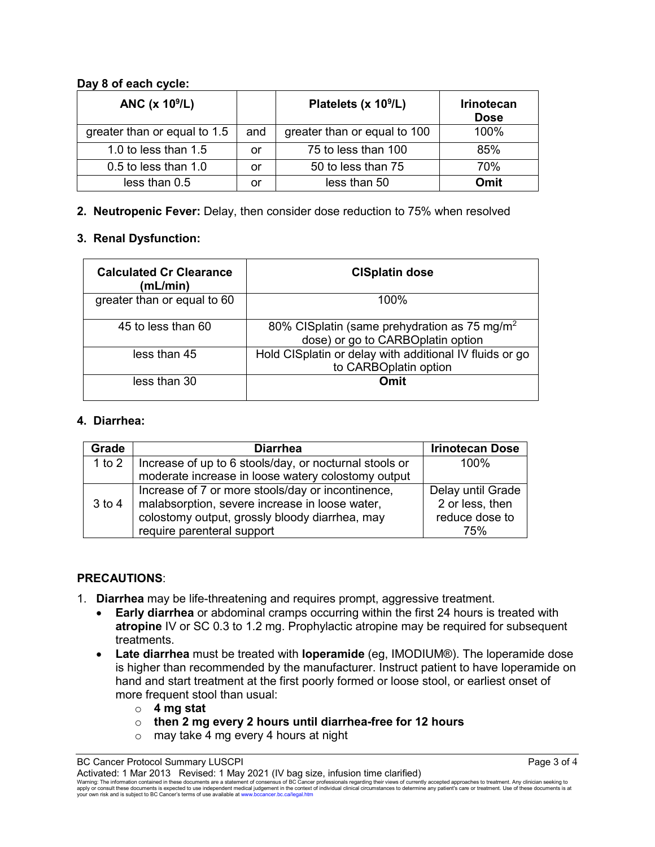## **Day 8 of each cycle:**

| ANC (x 10 <sup>9</sup> /L)   |     | Platelets (x 10 <sup>9</sup> /L) | <b>Irinotecan</b><br><b>Dose</b> |
|------------------------------|-----|----------------------------------|----------------------------------|
| greater than or equal to 1.5 | and | greater than or equal to 100     | 100%                             |
| 1.0 to less than 1.5         | or  | 75 to less than 100              | 85%                              |
| 0.5 to less than 1.0         | or  | 50 to less than 75               | 70%                              |
| less than 0.5                | or  | less than 50                     | Omit                             |

**2. Neutropenic Fever:** Delay, then consider dose reduction to 75% when resolved

## **3. Renal Dysfunction:**

| <b>Calculated Cr Clearance</b><br>(mL/min) | <b>CISplatin dose</b>                                                                         |
|--------------------------------------------|-----------------------------------------------------------------------------------------------|
| greater than or equal to 60                | 100%                                                                                          |
| 45 to less than 60                         | 80% CISplatin (same prehydration as 75 mg/m <sup>2</sup><br>dose) or go to CARBOplatin option |
| less than 45                               | Hold CISplatin or delay with additional IV fluids or go<br>to CARBOplatin option              |
| less than 30                               | Omit                                                                                          |

## **4. Diarrhea:**

| Grade    | <b>Diarrhea</b>                                        | <b>Irinotecan Dose</b> |
|----------|--------------------------------------------------------|------------------------|
| 1 to $2$ | Increase of up to 6 stools/day, or nocturnal stools or | 100%                   |
|          | moderate increase in loose watery colostomy output     |                        |
|          | Increase of 7 or more stools/day or incontinence,      | Delay until Grade      |
| $3$ to 4 | malabsorption, severe increase in loose water,         | 2 or less, then        |
|          | colostomy output, grossly bloody diarrhea, may         | reduce dose to         |
|          | require parenteral support                             | 75%                    |

## **PRECAUTIONS**:

- 1. **Diarrhea** may be life-threatening and requires prompt, aggressive treatment.
	- **Early diarrhea** or abdominal cramps occurring within the first 24 hours is treated with **atropine** IV or SC 0.3 to 1.2 mg. Prophylactic atropine may be required for subsequent treatments.
	- **Late diarrhea** must be treated with **loperamide** (eg, IMODIUM®). The loperamide dose is higher than recommended by the manufacturer. Instruct patient to have loperamide on hand and start treatment at the first poorly formed or loose stool, or earliest onset of more frequent stool than usual:
		- o **4 mg stat**
		- o **then 2 mg every 2 hours until diarrhea-free for 12 hours**
		- o may take 4 mg every 4 hours at night